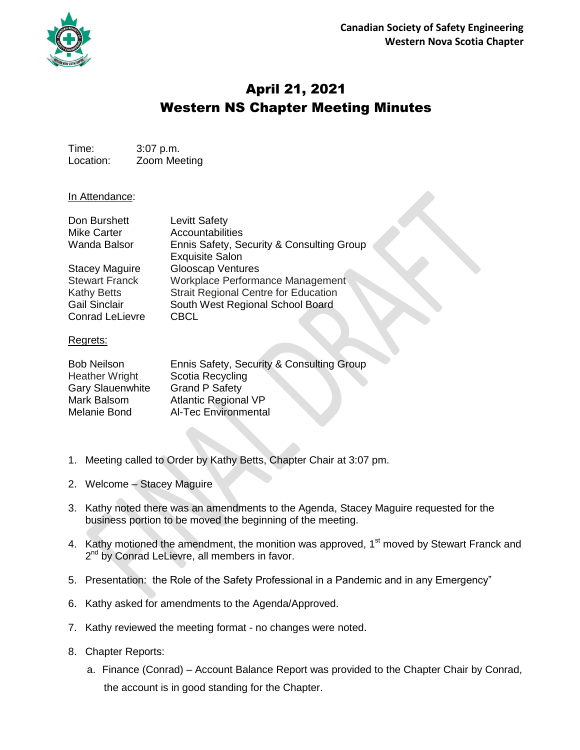

## April 21, 2021 Western NS Chapter Meeting Minutes

Time: 3:07 p.m. Location: Zoom Meeting

## In Attendance:

| Don Burshett           | <b>Levitt Safety</b>                        |
|------------------------|---------------------------------------------|
| <b>Mike Carter</b>     | Accountabilities                            |
| <b>Wanda Balsor</b>    | Ennis Safety, Security & Consulting Group   |
|                        | <b>Exquisite Salon</b>                      |
| <b>Stacey Maguire</b>  | <b>Glooscap Ventures</b>                    |
| <b>Stewart Franck</b>  | Workplace Performance Management            |
| <b>Kathy Betts</b>     | <b>Strait Regional Centre for Education</b> |
| <b>Gail Sinclair</b>   | South West Regional School Board            |
| <b>Conrad LeLievre</b> | <b>CBCL</b>                                 |
|                        |                                             |

## Regrets:

| <b>Bob Neilson</b>      | Ennis Safety, Security & Consulting Group |
|-------------------------|-------------------------------------------|
| <b>Heather Wright</b>   | Scotia Recycling                          |
| <b>Gary Slauenwhite</b> | <b>Grand P Safety</b>                     |
| Mark Balsom             | <b>Atlantic Regional VP</b>               |
| Melanie Bond            | <b>Al-Tec Environmental</b>               |

- 1. Meeting called to Order by Kathy Betts, Chapter Chair at 3:07 pm.
- 2. Welcome Stacey Maguire
- 3. Kathy noted there was an amendments to the Agenda, Stacey Maguire requested for the business portion to be moved the beginning of the meeting.
- 4. Kathy motioned the amendment, the monition was approved, 1<sup>st</sup> moved by Stewart Franck and 2<sup>nd</sup> by Conrad LeLievre, all members in favor.
- 5. Presentation: the Role of the Safety Professional in a Pandemic and in any Emergency"
- 6. Kathy asked for amendments to the Agenda/Approved.
- 7. Kathy reviewed the meeting format no changes were noted.
- 8. Chapter Reports:
	- a. Finance (Conrad) Account Balance Report was provided to the Chapter Chair by Conrad, the account is in good standing for the Chapter.